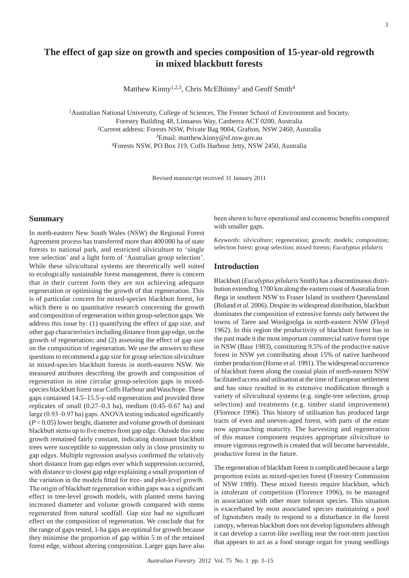# **The effect of gap size on growth and species composition of 15-year-old regrowth in mixed blackbutt forests**

Matthew Kinny<sup>1,2,3</sup>, Chris McElhinny<sup>1</sup> and Geoff Smith<sup>4</sup>

<sup>1</sup>Australian National University, College of Sciences, The Fenner School of Environment and Society, Forestry Building 48, Linnaeus Way, Canberra ACT 0200, Australia 2Current address: Forests NSW, Private Bag 9004, Grafton, NSW 2460, Australia 3Email: matthew.kinny@sf.nsw.gov.au 4Forests NSW, PO Box J19, Coffs Harbour Jetty, NSW 2450, Australia

Revised manuscript received 31 January 2011

#### **Summary**

In north-eastern New South Wales (NSW) the Regional Forest Agreement process has transferred more than 400 000 ha of state forests to national park, and restricted silviculture to 'single tree selection' and a light form of 'Australian group selection'. While these silvicultural systems are theoretically well suited to ecologically sustainable forest management, there is concern that in their current form they are not achieving adequate regeneration or optimising the growth of that regeneration. This is of particular concern for mixed-species blackbutt forest, for which there is no quantitative research concerning the growth and composition of regeneration within group-selection gaps. We address this issue by: (1) quantifying the effect of gap size, and other gap characteristics including distance from gap edge, on the growth of regeneration; and (2) assessing the effect of gap size on the composition of regeneration. We use the answers to these questions to recommend a gap size for group selection silviculture in mixed-species blackbutt forests in north-eastern NSW. We measured attributes describing the growth and composition of regeneration in nine circular group-selection gaps in mixedspecies blackbutt forest near Coffs Harbour and Wauchope. These gaps contained 14.5–15.5-y-old regeneration and provided three replicates of small  $(0.27-0.3 \text{ ha})$ , medium  $(0.45-0.67 \text{ ha})$  and large (0.93–0.97 ha) gaps. ANOVA testing indicated significantly (*P* < 0.05) lower height, diameter and volume growth of dominant blackbutt stems up to five metres from gap edge. Outside this zone growth remained fairly constant, indicating dominant blackbutt trees were susceptible to suppression only in close proximity to gap edges. Multiple regression analysis confirmed the relatively short distance from gap edges over which suppression occurred, with distance to closest gap edge explaining a small proportion of the variation in the models fitted for tree- and plot-level growth. The origin of blackbutt regeneration within gaps was a significant effect in tree-level growth models, with planted stems having increased diameter and volume growth compared with stems regenerated from natural seedfall. Gap size had no significant effect on the composition of regeneration. We conclude that for the range of gaps tested, 1-ha gaps are optimal for growth because they minimise the proportion of gap within 5 m of the retained forest edge, without altering composition. Larger gaps have also

been shown to have operational and economic benefits compared with smaller gaps.

*Keywords*: silviculture; regeneration; growth; models; composition; selection forest; group selection; mixed forests; *Eucalyptus pilularis*

# **Introduction**

Blackbutt (*Eucalyptus pilularis* Smith) has a discontinuous distribution extending 1700 km along the eastern coast of Australia from Bega in southern NSW to Fraser Island in southern Queensland (Boland *et al.* 2006). Despite its widespread distribution, blackbutt dominates the composition of extensive forests only between the towns of Taree and Woolgoolga in north-eastern NSW (Floyd 1962). In this region the productivity of blackbutt forest has in the past made it the most important commercial native forest type in NSW (Baur 1983), constituting 9.5% of the productive native forest in NSW yet contributing about 15% of native hardwood timber production (Horne *et al.* 1991). The widespread occurrence of blackbutt forest along the coastal plain of north-eastern NSW facilitated access and utilisation at the time of European settlement and has since resulted in its extensive modification through a variety of silvicultural systems (e.g. single-tree selection, group selection) and treatments (e.g. timber stand improvement) (Florence 1996). This history of utilisation has produced large tracts of even and uneven-aged forest, with parts of the estate now approaching maturity. The harvesting and regeneration of this mature component requires appropriate silviculture to ensure vigorous regrowth is created that will become harvestable, productive forest in the future.

The regeneration of blackbutt forest is complicated because a large proportion exists as mixed-species forest (Forestry Commission of NSW 1989). These mixed forests require blackbutt, which is intolerant of competition (Florence 1996), to be managed in association with other more tolerant species. This situation is exacerbated by most associated species maintaining a pool of lignotubers ready to respond to a disturbance in the forest canopy, whereas blackbutt does not develop lignotubers although it can develop a carrot-like swelling near the root-stem junction that appears to act as a food storage organ for young seedlings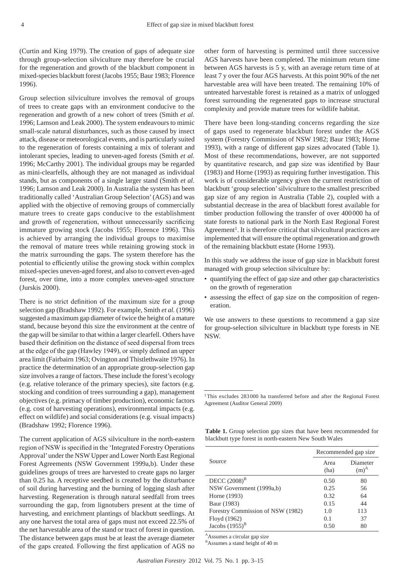(Curtin and King 1979). The creation of gaps of adequate size through group-selection silviculture may therefore be crucial for the regeneration and growth of the blackbutt component in mixed-species blackbutt forest (Jacobs 1955; Baur 1983; Florence 1996).

Group selection silviculture involves the removal of groups of trees to create gaps with an environment conducive to the regeneration and growth of a new cohort of trees (Smith *et al.* 1996; Lamson and Leak 2000). The system endeavours to mimic small-scale natural disturbances, such as those caused by insect attack, disease or meteorological events, and is particularly suited to the regeneration of forests containing a mix of tolerant and intolerant species, leading to uneven-aged forests (Smith *et al.* 1996; McCarthy 2001). The individual groups may be regarded as mini-clearfells, although they are not managed as individual stands, but as components of a single larger stand (Smith *et al.* 1996; Lamson and Leak 2000). In Australia the system has been traditionally called 'Australian Group Selection' (AGS) and was applied with the objective of removing groups of commercially mature trees to create gaps conducive to the establishment and growth of regeneration, without unnecessarily sacrificing immature growing stock (Jacobs 1955; Florence 1996). This is achieved by arranging the individual groups to maximise the removal of mature trees while retaining growing stock in the matrix surrounding the gaps. The system therefore has the potential to efficiently utilise the growing stock within complex mixed-species uneven-aged forest, and also to convert even-aged forest, over time, into a more complex uneven-aged structure (Jurskis 2000).

There is no strict definition of the maximum size for a group selection gap (Bradshaw 1992). For example, Smith *et al.* (1996) suggested a maximum gap diameter of twice the height of a mature stand, because beyond this size the environment at the centre of the gap will be similar to that within a larger clearfell. Others have based their definition on the distance of seed dispersal from trees at the edge of the gap (Hawley 1949), or simply defined an upper area limit (Fairbairn 1963; Ovington and Thistlethwaite 1976). In practice the determination of an appropriate group-selection gap size involves a range of factors. These include the forest's ecology (e.g. relative tolerance of the primary species), site factors (e.g. stocking and condition of trees surrounding a gap), management objectives (e.g. primacy of timber production), economic factors (e.g. cost of harvesting operations), environmental impacts (e.g. effect on wildlife) and social considerations (e.g. visual impacts) (Bradshaw 1992; Florence 1996).

The current application of AGS silviculture in the north-eastern region of NSW is specified in the 'Integrated Forestry Operations Approval' under the NSW Upper and Lower North East Regional Forest Agreements (NSW Government 1999a,b). Under these guidelines groups of trees are harvested to create gaps no larger than 0.25 ha. A receptive seedbed is created by the disturbance of soil during harvesting and the burning of logging slash after harvesting. Regeneration is through natural seedfall from trees surrounding the gap, from lignotubers present at the time of harvesting, and enrichment plantings of blackbutt seedlings. At any one harvest the total area of gaps must not exceed 22.5% of the net harvestable area of the stand or tract of forest in question. The distance between gaps must be at least the average diameter of the gaps created. Following the first application of AGS no other form of harvesting is permitted until three successive AGS harvests have been completed. The minimum return time between AGS harvests is 5 y, with an average return time of at least 7 y over the four AGS harvests. At this point 90% of the net harvestable area will have been treated. The remaining 10% of untreated harvestable forest is retained as a matrix of unlogged forest surrounding the regenerated gaps to increase structural complexity and provide mature trees for wildlife habitat.

There have been long-standing concerns regarding the size of gaps used to regenerate blackbutt forest under the AGS system (Forestry Commission of NSW 1982; Baur 1983; Horne 1993), with a range of different gap sizes advocated (Table 1). Most of these recommendations, however, are not supported by quantitative research, and gap size was identified by Baur (1983) and Horne (1993) as requiring further investigation. This work is of considerable urgency given the current restriction of blackbutt 'group selection' silviculture to the smallest prescribed gap size of any region in Australia (Table 2), coupled with a substantial decrease in the area of blackbutt forest available for timber production following the transfer of over 400000 ha of state forests to national park in the North East Regional Forest Agreement<sup>1</sup>. It is therefore critical that silvicultural practices are implemented that will ensure the optimal regeneration and growth of the remaining blackbutt estate (Horne 1993).

In this study we address the issue of gap size in blackbutt forest managed with group selection silviculture by:

- quantifying the effect of gap size and other gap characteristics on the growth of regeneration
- assessing the effect of gap size on the composition of regeneration.

We use answers to these questions to recommend a gap size for group-selection silviculture in blackbutt type forests in NE NSW.

<sup>1</sup>This excludes 283 000 ha transferred before and after the Regional Forest Agreement (Auditor General 2009)

|  | Table 1. Group selection gap sizes that have been recommended for |  |  |  |  |
|--|-------------------------------------------------------------------|--|--|--|--|
|  | blackbutt type forest in north-eastern New South Wales            |  |  |  |  |

|                                   | Recommended gap size |                     |  |  |  |
|-----------------------------------|----------------------|---------------------|--|--|--|
| Source                            | Area<br>(ha)         | Diameter<br>$(m)^A$ |  |  |  |
| DECC $(2008)^B$                   | 0.50                 | 80                  |  |  |  |
| NSW Government (1999a,b)          | 0.25                 | 56                  |  |  |  |
| Horne (1993)                      | 0.32                 | 64                  |  |  |  |
| Baur (1983)                       | 0.15                 | 44                  |  |  |  |
| Forestry Commission of NSW (1982) | 1.0                  | 113                 |  |  |  |
| Floyd (1962)                      | 0.1                  | 37                  |  |  |  |
| Jacobs $(1955)^B$                 | 0.50                 | 80                  |  |  |  |

AAssumes a circular gap size

<sup>B</sup>Assumes a stand height of 40 m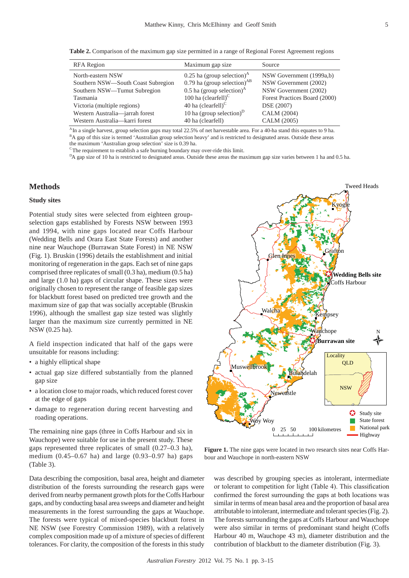**Table 2.** Comparison of the maximum gap size permitted in a range of Regional Forest Agreement regions

| <b>RFA</b> Region                  | Maximum gap size                                   | Source                        |
|------------------------------------|----------------------------------------------------|-------------------------------|
| North-eastern NSW                  | $0.25$ ha (group selection) <sup>A</sup>           | NSW Government (1999a,b)      |
| Southern NSW-South Coast Subregion | 0.79 ha (group selection) $^{AB}$                  | NSW Government (2002)         |
| Southern NSW—Tumut Subregion       | 0.5 ha (group selection) <sup><math>A</math></sup> | NSW Government (2002)         |
| Tasmania                           | 100 ha $(clearfell)^C$                             | Forest Practices Board (2000) |
| Victoria (multiple regions)        | 40 ha $(clearfell)^C$                              | DSE (2007)                    |
| Western Australia-jarrah forest    | 10 ha (group selection) $D$                        | CALM (2004)                   |
| Western Australia-karri forest     | 40 ha (clearfell)                                  | CALM (2005)                   |

<sup>A</sup>In a single harvest, group selection gaps may total 22.5% of net harvestable area. For a 40-ha stand this equates to 9 ha. <sup>B</sup>A gap of this size is termed 'Australian group selection heavy' and is restricted to designated areas. Outside these areas the maximum 'Australian group selection' size is 0.39 ha.

 $\rm{c}$ The requirement to establish a safe burning boundary may over-ride this limit.

<sup>D</sup>A gap size of 10 ha is restricted to designated areas. Outside these areas the maximum gap size varies between 1 ha and 0.5 ha.

# **Methods**

# **Study sites**

Potential study sites were selected from eighteen groupselection gaps established by Forests NSW between 1993 and 1994, with nine gaps located near Coffs Harbour (Wedding Bells and Orara East State Forests) and another nine near Wauchope (Burrawan State Forest) in NE NSW (Fig. 1). Bruskin (1996) details the establishment and initial monitoring of regeneration in the gaps. Each set of nine gaps comprised three replicates of small (0.3 ha), medium (0.5 ha) and large (1.0 ha) gaps of circular shape. These sizes were originally chosen to represent the range of feasible gap sizes for blackbutt forest based on predicted tree growth and the maximum size of gap that was socially acceptable (Bruskin 1996), although the smallest gap size tested was slightly larger than the maximum size currently permitted in NE NSW (0.25 ha).

A field inspection indicated that half of the gaps were unsuitable for reasons including:

- a highly elliptical shape
- actual gap size differed substantially from the planned gap size
- a location close to major roads, which reduced forest cover at the edge of gaps
- damage to regeneration during recent harvesting and roading operations.

The remaining nine gaps (three in Coffs Harbour and six in Wauchope) were suitable for use in the present study. These gaps represented three replicates of small (0.27–0.3 ha), medium (0.45–0.67 ha) and large (0.93–0.97 ha) gaps (Table 3).

Data describing the composition, basal area, height and diameter distribution of the forests surrounding the research gaps were derived from nearby permanent growth plots for the Coffs Harbour gaps, and by conducting basal area sweeps and diameter and height measurements in the forest surrounding the gaps at Wauchope. The forests were typical of mixed-species blackbutt forest in NE NSW (see Forestry Commission 1989), with a relatively complex composition made up of a mixture of species of different tolerances. For clarity, the composition of the forests in this study



Figure 1. The nine gaps were located in two research sites near Coffs Harbour and Wauchope in north-eastern NSW

was described by grouping species as intolerant, intermediate or tolerant to competition for light (Table 4). This classification confirmed the forest surrounding the gaps at both locations was similar in terms of mean basal area and the proportion of basal area attributable to intolerant, intermediate and tolerant species (Fig. 2). The forests surrounding the gaps at Coffs Harbour and Wauchope were also similar in terms of predominant stand height (Coffs Harbour 40 m, Wauchope 43 m), diameter distribution and the contribution of blackbutt to the diameter distribution (Fig. 3).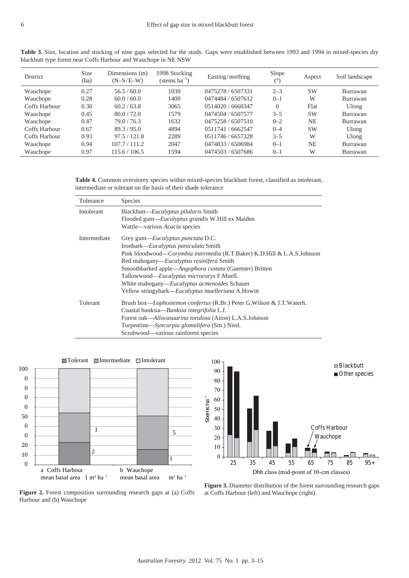| <b>District</b> | <b>Size</b><br>(ha) | Dimensions (m)<br>$(N-S/E-W)$ | 1998 Stocking<br>(stems $ha^{-1}$ ) | Easting/northing  | Slope<br>$(^\circ)$ | Aspect    | Soil landscape |
|-----------------|---------------------|-------------------------------|-------------------------------------|-------------------|---------------------|-----------|----------------|
| Wauchope        | 0.27                | 56.5/60.0                     | 1030                                | 0475278 / 6507331 | $2 - 3$             | <b>SW</b> | Burrawan       |
| Wauchope        | 0.28                | 60.0 / 60.0                   | 1400                                | 0474484 / 6507612 | $0 - 1$             | W         | Burrawan       |
| Coffs Harbour   | 0.30                | 60.2 / 63.8                   | 3065                                | 0514020 / 6660347 | $\Omega$            | Flat      | Ulong          |
| Wauchope        | 0.45                | 80.0 / 72.0                   | 1579                                | 0474504 / 6507577 | $3 - 5$             | <b>SW</b> | Burrawan       |
| Wauchope        | 0.47                | 79.0/76.3                     | 1632                                | 0475258 / 6507510 | $0 - 2$             | <b>NE</b> | Burrawan       |
| Coffs Harbour   | 0.67                | 89.3 / 95.0                   | 4894                                | 0511741 / 6662547 | $0 - 4$             | <b>SW</b> | Ulong          |
| Coffs Harbour   | 0.93                | 97.5/121.8                    | 2289                                | 0511746 / 6657328 | $3 - 5$             | W         | Ulong          |
| Wauchope        | 0.94                | 107.7 / 111.2                 | 2047                                | 0474833 / 6506984 | $0 - 1$             | <b>NE</b> | Burrawan       |
| Wauchope        | 0.97                | 115.6 / 106.5                 | 1594                                | 0474503 / 6507686 | $0 - 1$             | W         | Burrawan       |

Table 3. Size, location and stocking of nine gaps selected for the study. Gaps were established between 1993 and 1994 in mixed-species dry blackbutt type forest near Coffs Harbour and Wauchope in NE NSW

**Table 4.** Common overstorey species within mixed-species blackbutt forest, classified as intolerant, intermediate or tolerant on the basis of their shade tolerance

| Tolerance         | <b>Species</b>                                                                                                                                                                                                                                                                                                                                                                                                                 |
|-------------------|--------------------------------------------------------------------------------------------------------------------------------------------------------------------------------------------------------------------------------------------------------------------------------------------------------------------------------------------------------------------------------------------------------------------------------|
| <b>Intolerant</b> | Blackbutt—Eucalyptus pilularis Smith<br>Flooded gum-Eucalyptus grandis W.Hill ex Maiden<br>Wattle—various Acacia species                                                                                                                                                                                                                                                                                                       |
| Intermediate      | Grey gum—Eucalyptus punctata D.C.<br>Ironbark—Eucalyptus paniculata Smith<br>Pink bloodwood—Corymbia intermedia (R.T.Baker) K.D.Hill & L.A.S.Johnson<br>Red mahogany— <i>Eucalyptus resinifera</i> Smith<br>Smoothbarked apple—Angophora costata (Gaertner) Britten<br>Tallowwood—Eucalyptus microcorys F.Muell.<br>White mahogany— <i>Eucalyptus acmenoides</i> Schauer<br>Yellow stringybark—Eucalyptus muelleriana A.Howitt |
| Tolerant          | Brush box— <i>Lophostemon confertus</i> (R.Br.) Peter G.Wilson & J.T.Waterh.<br>Coastal banksia—Banksia integrifolia L.f.<br>Forest oak— <i>Allocasuarina torulosa</i> (Aiton) L.A.S.Johnson<br>Turpentine—Syncarpia glomulifera (Sm.) Nied.<br>Scrubwood—various rainforest species                                                                                                                                           |





**Figure 2.** Forest composition surrounding research gaps at (a) Coffs Harbour and (b) Wauchope

**Figure 3.** Diameter distribution of the forest surrounding research gaps at Coffs Harbour (left) and Wauchope (right).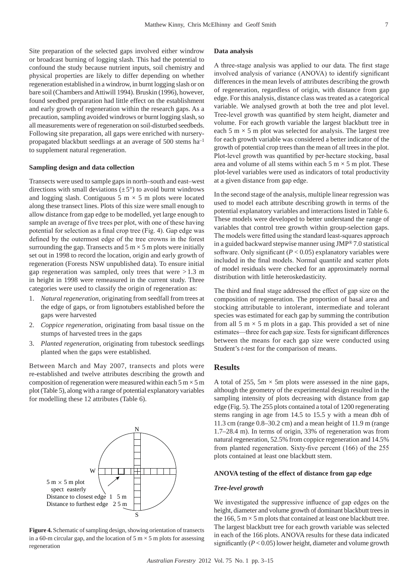Site preparation of the selected gaps involved either windrow or broadcast burning of logging slash. This had the potential to confound the study because nutrient inputs, soil chemistry and physical properties are likely to differ depending on whether regeneration established in a windrow, in burnt logging slash or on bare soil (Chambers and Attiwill 1994). Bruskin (1996), however, found seedbed preparation had little effect on the establishment and early growth of regeneration within the research gaps. As a precaution, sampling avoided windrows or burnt logging slash, so all measurements were of regeneration on soil-disturbed seedbeds. Following site preparation, all gaps were enriched with nurserypropagated blackbutt seedlings at an average of 500 stems ha–1 to supplement natural regeneration.

#### **Sampling design and data collection**

Transects were used to sample gaps in north–south and east–west directions with small deviations  $(\pm 5^{\circ})$  to avoid burnt windrows and logging slash. Contiguous 5 m  $\times$  5 m plots were located along these transect lines. Plots of this size were small enough to allow distance from gap edge to be modelled, yet large enough to sample an average of five trees per plot, with one of these having potential for selection as a final crop tree (Fig. 4). Gap edge was defined by the outermost edge of the tree crowns in the forest surrounding the gap. Transects and  $5 \text{ m} \times 5 \text{ m}$  plots were initially set out in 1998 to record the location, origin and early growth of regeneration (Forests NSW unpublished data). To ensure initial gap regeneration was sampled, only trees that were  $>1.3$  m in height in 1998 were remeasured in the current study. Three categories were used to classify the origin of regeneration as:

- 1. Natural regeneration, originating from seedfall from trees at the edge of gaps, or from lignotubers established before the gaps were harvested
- 2. Coppice regeneration, originating from basal tissue on the stumps of harvested trees in the gaps
- 3. Planted regeneration, originating from tubestock seedlings planted when the gaps were established.

Between March and May 2007, transects and plots were re-established and twelve attributes describing the growth and composition of regeneration were measured within each  $5 \text{ m} \times 5 \text{ m}$ plot (Table 5), along with a range of potential explanatory variables for modelling these 12 attributes (Table 6).



**Figure 4.** Schematic of sampling design, showing orientation of transects in a 60-m circular gap, and the location of  $5 \text{ m} \times 5 \text{ m}$  plots for assessing regeneration

#### **Data analysis**

A three-stage analysis was applied to our data. The first stage involved analysis of variance (ANOVA) to identify significant differences in the mean levels of attributes describing the growth of regeneration, regardless of origin, with distance from gap edge. For this analysis, distance class was treated as a categorical variable. We analysed growth at both the tree and plot level. Tree-level growth was quantified by stem height, diameter and volume. For each growth variable the largest blackbutt tree in each 5 m  $\times$  5 m plot was selected for analysis. The largest tree for each growth variable was considered a better indicator of the growth of potential crop trees than the mean of all trees in the plot. Plot-level growth was quantified by per-hectare stocking, basal area and volume of all stems within each  $5 \text{ m} \times 5 \text{ m}$  plot. These plot-level variables were used as indicators of total productivity at a given distance from gap edge.

In the second stage of the analysis, multiple linear regression was used to model each attribute describing growth in terms of the potential explanatory variables and interactions listed in Table 6. These models were developed to better understand the range of variables that control tree growth within group-selection gaps. The models were fitted using the standard least-squares approach in a guided backward stepwise manner using JMP® 7.0 statistical software. Only significant  $(P < 0.05)$  explanatory variables were included in the final models. Normal quantile and scatter plots of model residuals were checked for an approximately normal distribution with little heteroskedasticity.

The third and final stage addressed the effect of gap size on the composition of regeneration. The proportion of basal area and stocking attributable to intolerant, intermediate and tolerant species was estimated for each gap by summing the contribution from all 5  $m \times 5$  m plots in a gap. This provided a set of nine estimates—three for each gap size. Tests for significant differences between the means for each gap size were conducted using Student's *t*-test for the comparison of means.

#### **Results**

A total of 255,  $5m \times 5m$  plots were assessed in the nine gaps, although the geometry of the experimental design resulted in the sampling intensity of plots decreasing with distance from gap edge (Fig. 5). The 255 plots contained a total of 1200 regenerating stems ranging in age from 14.5 to 15.5 y with a mean dbh of 11.3 cm (range 0.8–30.2 cm) and a mean height of 11.9 m (range 1.7–28.4 m). In terms of origin, 33% of regeneration was from natural regeneration, 52.5% from coppice regeneration and 14.5% from planted regeneration. Sixty-five percent (166) of the 255 plots contained at least one blackbutt stem.

#### **ANOVA testing of the effect of distance from gap edge**

#### *Tree-level growth*

We investigated the suppressive influence of gap edges on the height, diameter and volume growth of dominant blackbutt trees in the 166, 5 m  $\times$  5 m plots that contained at least one blackbutt tree. The largest blackbutt tree for each growth variable was selected in each of the 166 plots. ANOVA results for these data indicated significantly (*P* < 0.05) lower height, diameter and volume growth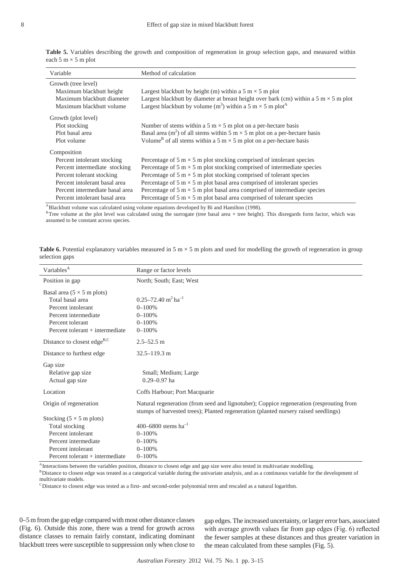|                            |  |  |  | Table 5. Variables describing the growth and composition of regeneration in group selection gaps, and measured within |  |  |  |  |
|----------------------------|--|--|--|-----------------------------------------------------------------------------------------------------------------------|--|--|--|--|
| each 5 m $\times$ 5 m plot |  |  |  |                                                                                                                       |  |  |  |  |

| Variable                                                                                                                                                                                                      | Method of calculation                                                                                                                                                                                                                                                                                                                                                                                                                                                                                                                                                                              |
|---------------------------------------------------------------------------------------------------------------------------------------------------------------------------------------------------------------|----------------------------------------------------------------------------------------------------------------------------------------------------------------------------------------------------------------------------------------------------------------------------------------------------------------------------------------------------------------------------------------------------------------------------------------------------------------------------------------------------------------------------------------------------------------------------------------------------|
| Growth (tree level)<br>Maximum blackbutt height<br>Maximum blackbutt diameter<br>Maximum blackbutt volume                                                                                                     | Largest blackbutt by height (m) within a 5 m $\times$ 5 m plot<br>Largest blackbutt by diameter at breast height over bark (cm) within a $5 \text{ m} \times 5 \text{ m}$ plot<br>Largest blackbutt by volume (m <sup>3</sup> ) within a 5 m $\times$ 5 m plot <sup>A</sup>                                                                                                                                                                                                                                                                                                                        |
| Growth (plot level)<br>Plot stocking<br>Plot basal area<br>Plot volume                                                                                                                                        | Number of stems within a 5 m $\times$ 5 m plot on a per-hectare basis<br>Basal area (m <sup>2</sup> ) of all stems within 5 m $\times$ 5 m plot on a per-hectare basis<br>Volume <sup>B</sup> of all stems within a 5 m $\times$ 5 m plot on a per-hectare basis                                                                                                                                                                                                                                                                                                                                   |
| Composition<br>Percent intolerant stocking<br>Percent intermediate stocking<br>Percent tolerant stocking<br>Percent intolerant basal area<br>Percent intermediate basal area<br>Percent intolerant basal area | Percentage of $5 \text{ m} \times 5 \text{ m}$ plot stocking comprised of intolerant species<br>Percentage of $5 \text{ m} \times 5 \text{ m}$ plot stocking comprised of intermediate species<br>Percentage of $5 \text{ m} \times 5 \text{ m}$ plot stocking comprised of tolerant species<br>Percentage of $5 \text{ m} \times 5 \text{ m}$ plot basal area comprised of intolerant species<br>Percentage of $5 \text{ m} \times 5 \text{ m}$ plot basal area comprised of intermediate species<br>Percentage of $5 \text{ m} \times 5 \text{ m}$ plot basal area comprised of tolerant species |

ABlackbutt volume was calculated using volume equations developed by Bi and Hamilton (1998).

 $B$ Tree volume at the plot level was calculated using the surrogate (tree basal area  $\times$  tree height). This disregards form factor, which was assumed to be constant across species.

**Table 6.** Potential explanatory variables measured in 5 m  $\times$  5 m plots and used for modelling the growth of regeneration in group selection gaps

| Variables <sup>A</sup>                           | Range or factor levels                                                                                                                                                         |
|--------------------------------------------------|--------------------------------------------------------------------------------------------------------------------------------------------------------------------------------|
| Position in gap                                  | North; South; East; West                                                                                                                                                       |
| Basal area $(5 \times 5 \text{ m plots})$        |                                                                                                                                                                                |
| Total basal area                                 | $0.25 - 72.40$ m <sup>2</sup> ha <sup>-1</sup>                                                                                                                                 |
| Percent intolerant                               | $0 - 100%$                                                                                                                                                                     |
| Percent intermediate                             | $0 - 100%$                                                                                                                                                                     |
| Percent tolerant                                 | $0 - 100%$                                                                                                                                                                     |
| Percent tolerant + intermediate                  | $0 - 100%$                                                                                                                                                                     |
| Distance to closest edge <sup>B,C</sup>          | $2.5 - 52.5$ m                                                                                                                                                                 |
| Distance to furthest edge                        | $32.5 - 119.3$ m                                                                                                                                                               |
| Gap size<br>Relative gap size<br>Actual gap size | Small; Medium; Large<br>$0.29 - 0.97$ ha                                                                                                                                       |
| Location                                         | Coffs Harbour; Port Macquarie                                                                                                                                                  |
| Origin of regeneration                           | Natural regeneration (from seed and lignotuber); Coppice regeneration (resprouting from<br>stumps of harvested trees); Planted regeneration (planted nursery raised seedlings) |
| Stocking $(5 \times 5 \text{ m plots})$          |                                                                                                                                                                                |
| Total stocking                                   | 400–6800 stems ha <sup>-1</sup>                                                                                                                                                |
| Percent intolerant                               | $0 - 100%$                                                                                                                                                                     |
| Percent intermediate                             | $0 - 100%$                                                                                                                                                                     |
| Percent intolerant                               | $0 - 100%$                                                                                                                                                                     |
| Percent tolerant + intermediate                  | $0 - 100%$                                                                                                                                                                     |

<sup>A</sup> Interactions between the variables position, distance to closest edge and gap size were also tested in multivariate modelling.

<sup>B</sup>Distance to closest edge was treated as a categorical variable during the univariate analysis, and as a continuous variable for the development of multivariate models.

 ${}^c$ Distance to closest edge was tested as a first- and second-order polynomial term and rescaled as a natural logarithm.

0–5 m from the gap edge compared with most other distance classes (Fig. 6). Outside this zone, there was a trend for growth across distance classes to remain fairly constant, indicating dominant blackbutt trees were susceptible to suppression only when close to gap edges. The increased uncertainty, or larger error bars, associated with average growth values far from gap edges (Fig. 6) reflected the fewer samples at these distances and thus greater variation in the mean calculated from these samples (Fig. 5).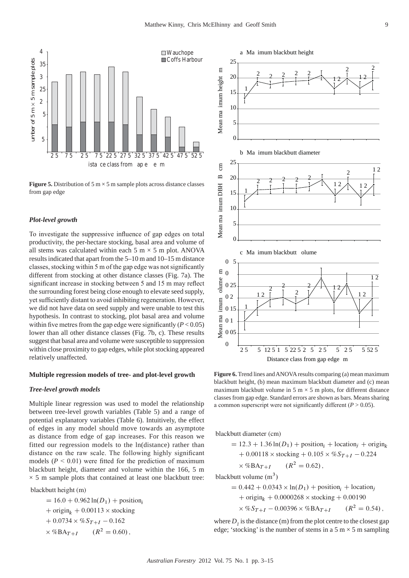

**Figure 5.** Distribution of 5  $m \times 5$  m sample plots across distance classes from gap edge

#### *Plot-level growth*

To investigate the suppressive influence of gap edges on total productivity, the per-hectare stocking, basal area and volume of all stems was calculated within each  $5 \text{ m} \times 5 \text{ m}$  plot. ANOVA results indicated that apart from the 5–10 m and 10–15 m distance classes, stocking within 5 m of the gap edge was not significantly different from stocking at other distance classes (Fig. 7a). The significant increase in stocking between 5 and 15 m may reflect the surrounding forest being close enough to elevate seed supply, yet sufficiently distant to avoid inhibiting regeneration. However, we did not have data on seed supply and were unable to test this hypothesis. In contrast to stocking, plot basal area and volume within five metres from the gap edge were significantly  $(P < 0.05)$ lower than all other distance classes (Fig. 7b, c). These results suggest that basal area and volume were susceptible to suppression within close proximity to gap edges, while plot stocking appeared relatively unaffected.

#### **Multiple regression models of tree- and plot-level growth**

#### *Tree-level growth models*

Multiple linear regression was used to model the relationship between tree-level growth variables (Table 5) and a range of potential explanatory variables (Table 6). Intuitively, the effect of edges in any model should move towards an asymptote as distance from edge of gap increases. For this reason we fitted our regression models to the ln(distance) rather than distance on the raw scale. The following highly significant models  $(P < 0.01)$  were fitted for the prediction of maximum blackbutt height, diameter and volume within the 166, 5 m  $\times$  5 m sample plots that contained at least one blackbutt tree:

blackbutt height (m)

 $= 16.0 + 0.962 \ln(D_1) +$  position<sub>i</sub> +  $\text{origin}_k + 0.00113 \times \text{stocking}$  $+0.0734 \times \%S_{T+I} -0.162$  $\times$  %BA<sub>T+I</sub>  $(R^2 = 0.60)$ ,



**Figure 6.** Trend lines and ANOVA results comparing (a) mean maximum blackbutt height, (b) mean maximum blackbutt diameter and (c) mean maximum blackbutt volume in 5 m  $\times$  5 m plots, for different distance classes from gap edge. Standard errors are shown as bars. Means sharing a common superscript were not significantly different  $(P > 0.05)$ .

blackbutt diameter (cm)

- - - -- - - --

blackbutt volume 
$$
(m^3)
$$

= 0.442 + 0.0343 × ln(D<sub>1</sub>) + position<sub>i</sub> + location<sub>j</sub>  
+ origin<sub>k</sub> + 0.0000268 × stocking + 0.00190  
× %
$$
S_{T+I}
$$
 – 0.00396 × %BA<sub>T+I</sub> (R<sup>2</sup> = 0.54),

where  $D<sub>i</sub>$  is the distance (m) from the plot centre to the closest gap edge; 'stocking' is the number of stems in a  $5 \text{ m} \times 5 \text{ m}$  sampling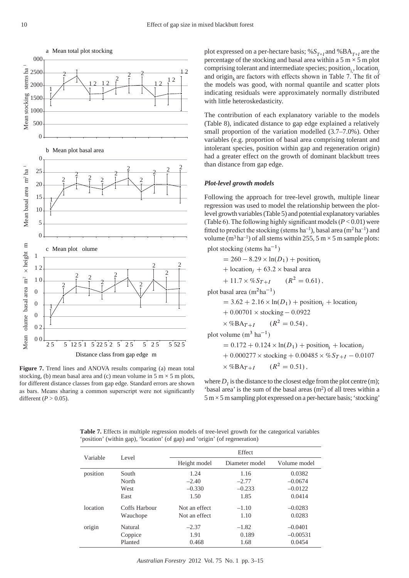

**Figure 7.** Trend lines and ANOVA results comparing (a) mean total stocking, (b) mean basal area and (c) mean volume in  $5 \text{ m} \times 5 \text{ m}$  plots, for different distance classes from gap edge. Standard errors are shown as bars. Means sharing a common superscript were not significantly different ( $P > 0.05$ ).

plot expressed on a per-hectare basis; % $S_{T+I}$  and %BA<sub>*T+I*</sub> are the percentage of the stocking and basal area within a  $5 \text{ m} \times 5 \text{ m}$  plot comprising tolerant and intermediate species; position*i,*, location*<sup>j</sup>* and origin<sub> $<sup>k</sup>$ </sub> are factors with effects shown in Table 7. The fit of</sub></sup> the models was good, with normal quantile and scatter plots indicating residuals were approximately normally distributed with little heteroskedasticity.

The contribution of each explanatory variable to the models (Table 8), indicated distance to gap edge explained a relatively small proportion of the variation modelled (3.7–7.0%). Other variables (e.g. proportion of basal area comprising tolerant and intolerant species, position within gap and regeneration origin) had a greater effect on the growth of dominant blackbutt trees than distance from gap edge.

#### *Plot-level growth models*

Following the approach for tree-level growth, multiple linear regression was used to model the relationship between the plotlevel growth variables (Table 5) and potential explanatory variables (Table 6). The following highly significant models (*P* < 0.01) were fitted to predict the stocking (stems  $ha^{-1}$ ), basal area (m<sup>2</sup> ha<sup>-1</sup>) and volume ( $m<sup>3</sup> h a<sup>-1</sup>$ ) of all stems within 255, 5 m × 5 m sample plots: plot stocking (stems  $ha^{-1}$ )

$$
= 260 - 8.29 \times \ln(D_1) + \text{position}_i
$$
  
+ location<sub>j</sub> + 63.2 × basal area  
+ 11.7 × %*S*<sub>T+1</sub> (*R*<sup>2</sup> = 0.61),  
plot basal area (m<sup>2</sup>ha<sup>-1</sup>)  
= 3.62 + 2.16 × ln(*D*<sub>1</sub>) + position<sub>i</sub> + location  
+ 0.00701 × stocking – 0.0922  
× %BA<sub>T+1</sub> (*R*<sup>2</sup> = 0.54),  
plot volume (m<sup>3</sup> ha<sup>-1</sup>)  
= 0.172 + 0.124 × ln(*D*<sub>1</sub>) + position<sub>i</sub> + location

 $a_i$  + location<sub>j</sub>  $+0.000277 \times$  stocking  $+0.00485 \times \% S_{T+I} - 0.0107$  $\times$  %BA $_{T+I}$  $2^2 = 0.51$ ,

ı,

where  $D_i$  is the distance to the closest edge from the plot centre (m); 'basal area' is the sum of the basal areas  $(m<sup>2</sup>)$  of all trees within a  $5 \text{ m} \times 5 \text{ m}$  sampling plot expressed on a per-hectare basis; 'stocking'

Variable Level **Effect** Height model Diameter model Volume model position South 1.24 1.16 0.0382 North  $-2.40$   $-2.77$   $-0.0674$ West  $-0.330$   $-0.233$   $-0.0122$ East 1.50 1.85 0.0414 location Coffs Harbour Not an effect –1.10 –0.0283 Wauchope Not an effect 1.10 0.0283 origin Natural –2.37 –1.82 –0.0401 Coppice 1.91 0.189 –0.00531 Planted 0.468 1.68 0.0454

**Table 7.** Effects in multiple regression models of tree-level growth for the categorical variables 'position' (within gap), 'location' (of gap) and 'origin' (of regeneration)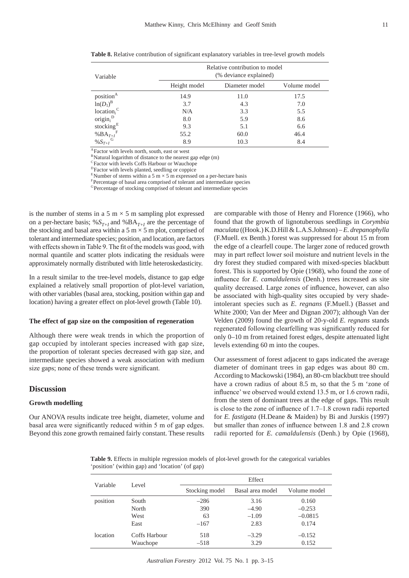| Variable                           | Relative contribution to model<br>(% deviance explained) |                |              |  |  |  |
|------------------------------------|----------------------------------------------------------|----------------|--------------|--|--|--|
|                                    | Height model                                             | Diameter model | Volume model |  |  |  |
| position <sup>A</sup>              | 14.9                                                     | 11.0           | 17.5         |  |  |  |
| $ln(D_1)^B$                        | 3.7                                                      | 4.3            | 7.0          |  |  |  |
| location <sub>i</sub> <sup>C</sup> | N/A                                                      | 3.3            | 5.5          |  |  |  |
| $origin_i^D$                       | 8.0                                                      | 5.9            | 8.6          |  |  |  |
| stocking $E$                       | 9.3                                                      | 5.1            | 6.6          |  |  |  |
| % $BA_{T+I}$ <sup>F</sup>          | 55.2                                                     | 60.0           | 46.4         |  |  |  |
| % $S_{T+I}$ <sup>G</sup>           | 8.9                                                      | 10.3           | 8.4          |  |  |  |

**Table 8.** Relative contribution of significant explanatory variables in tree-level growth models

AFactor with levels north, south, east or west

BNatural logarithm of distance to the nearest gap edge (m)

CFactor with levels Coffs Harbour or Wauchope

DFactor with levels planted, seedling or coppice

ENumber of stems within a 5 m  $\times$  5 m expressed on a per-hectare basis

F Percentage of basal area comprised of tolerant and intermediate species

<sup>G</sup>Percentage of stocking comprised of tolerant and intermediate species

is the number of stems in a 5 m  $\times$  5 m sampling plot expressed on a per-hectare basis; % $S_{T+I}$  and %BA<sub>*T+I*</sub> are the percentage of the stocking and basal area within a  $5 \text{ m} \times 5 \text{ m}$  plot, comprised of tolerant and intermediate species; position<sub>*i*</sub> and location<sub>*j*</sub> are factors with effects shown in Table 9. The fit of the models was good, with normal quantile and scatter plots indicating the residuals were approximately normally distributed with little heteroskedasticity.

In a result similar to the tree-level models, distance to gap edge explained a relatively small proportion of plot-level variation, with other variables (basal area, stocking, position within gap and location) having a greater effect on plot-level growth (Table 10).

#### **The effect of gap size on the composition of regeneration**

Although there were weak trends in which the proportion of gap occupied by intolerant species increased with gap size, the proportion of tolerant species decreased with gap size, and intermediate species showed a weak association with medium size gaps; none of these trends were significant.

#### **Discussion**

#### **Growth modelling**

Our ANOVA results indicate tree height, diameter, volume and basal area were significantly reduced within 5 m of gap edges. Beyond this zone growth remained fairly constant. These results are comparable with those of Henry and Florence (1966), who found that the growth of lignotuberous seedlings in *Corymbia maculata* ((Hook.) K.D.Hill & L.A.S.Johnson) *– E. drepanophylla* (F.Muell. ex Benth.) forest was suppressed for about 15 m from the edge of a clearfell coupe. The larger zone of reduced growth may in part reflect lower soil moisture and nutrient levels in the dry forest they studied compared with mixed-species blackbutt forest. This is supported by Opie (1968), who found the zone of influence for *E. camaldulensis* (Denh.) trees increased as site quality decreased. Large zones of influence, however, can also be associated with high-quality sites occupied by very shadeintolerant species such as *E. regnans* (F.Muell.) (Basset and White 2000; Van der Meer and Dignan 2007); although Van der Velden (2009) found the growth of 20-y-old *E. regnans* stands regenerated following clearfelling was significantly reduced for only 0–10 m from retained forest edges, despite attenuated light levels extending 60 m into the coupes.

Our assessment of forest adjacent to gaps indicated the average diameter of dominant trees in gap edges was about 80 cm. According to Mackowski (1984), an 80-cm blackbutt tree should have a crown radius of about 8.5 m, so that the 5 m 'zone of influence' we observed would extend 13.5 m, or 1.6 crown radii, from the stem of dominant trees at the edge of gaps. This result is close to the zone of influence of 1.7–1.8 crown radii reported for *E. fastigata* (H.Deane & Maiden) by Bi and Jurskis (1997) but smaller than zones of influence between 1.8 and 2.8 crown radii reported for *E. camaldulensis* (Denh.) by Opie (1968),

**Table 9.** Effects in multiple regression models of plot-level growth for the categorical variables 'position' (within gap) and 'location' (of gap)

| Variable |               | Effect         |                  |              |  |  |  |
|----------|---------------|----------------|------------------|--------------|--|--|--|
|          | Level         | Stocking model | Basal area model | Volume model |  |  |  |
| position | South         | $-286$         | 3.16             | 0.160        |  |  |  |
|          | North         | 390            | $-4.90$          | $-0.253$     |  |  |  |
|          | West          | 63             | $-1.09$          | $-0.0815$    |  |  |  |
|          | East          | $-167$         | 2.83             | 0.174        |  |  |  |
| location | Coffs Harbour | 518            | $-3.29$          | $-0.152$     |  |  |  |
|          | Wauchope      | $-518$         | 3.29             | 0.152        |  |  |  |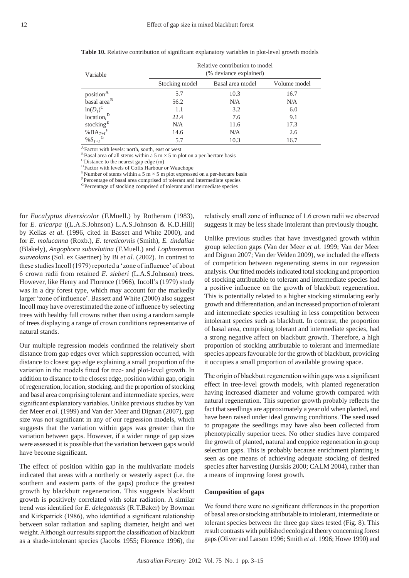| ٧ |
|---|
| ٧ |
|   |

| Variable                             | Relative contribution to model<br>(% deviance explained) |                  |              |  |  |  |
|--------------------------------------|----------------------------------------------------------|------------------|--------------|--|--|--|
|                                      | Stocking model                                           | Basal area model | Volume model |  |  |  |
| position <sup>A</sup>                | 5.7                                                      | 10.3             | 16.7         |  |  |  |
| basal area <sup>B</sup>              | 56.2                                                     | N/A              | N/A          |  |  |  |
| $ln(D_1)^C$                          | 1.1                                                      | 3.2              | 6.0          |  |  |  |
| location <sub>i</sub> <sup>D</sup>   | 22.4                                                     | 7.6              | 9.1          |  |  |  |
| stocking <sup>E</sup>                | N/A                                                      | 11.6             | 17.3         |  |  |  |
| % $\mathrm{BA}_{T+I}^{\phantom{A}F}$ | 14.6                                                     | N/A              | 2.6          |  |  |  |
| $\%S_{T+I}$ <sup>G</sup>             | 5.7                                                      | 10.3             | 16.7         |  |  |  |

**Table 10.** Relative contribution of significant explanatory variables in plot-level growth models

AFactor with levels: north, south, east or west

 $^{\rm B}$ Basal area of all stems within a 5 m  $\times$  5 m plot on a per-hectare basis  $^{\rm C}$  Distance to the nearest gap edge (m)

<sup>D</sup> Factor with levels of Coffs Harbour or Wauchope

<sup>E</sup>Number of stems within a 5 m  $\times$  5 m plot expressed on a per-hectare basis  $F$ Percentage of basal area comprised of tolerant and intermediate species

<sup>G</sup> Percentage of stocking comprised of tolerant and intermediate species

for *Eucalyptus diversicolor* (F.Muell.) by Rotheram (1983), for *E. tricarpa* ((L.A.S.Johnson) L.A.S.Johnson & K.D.Hill) by Kellas *et al.* (1996, cited in Basset and White 2000), and for *E. molucanna* (Roxb.), *E. tereticornis* (Smith), *E. tindaliae* (Blakely), *Angophora subvelutina* (F.Muell.) and *Lophostemon suaveolans* (Sol. ex Gaertner) by Bi *et al.* (2002). In contrast to these studies Incoll (1979) reported a 'zone of influence' of about 6 crown radii from retained *E. sieberi* (L.A.S.Johnson) trees. However, like Henry and Florence (1966), Incoll's (1979) study was in a dry forest type, which may account for the markedly larger 'zone of influence'. Bassett and White (2000) also suggest Incoll may have overestimated the zone of influence by selecting trees with healthy full crowns rather than using a random sample of trees displaying a range of crown conditions representative of natural stands.

Our multiple regression models confirmed the relatively short distance from gap edges over which suppression occurred, with distance to closest gap edge explaining a small proportion of the variation in the models fitted for tree- and plot-level growth. In addition to distance to the closest edge, position within gap, origin of regeneration, location, stocking, and the proportion of stocking and basal area comprising tolerant and intermediate species, were significant explanatory variables. Unlike previous studies by Van der Meer *et al.* (1999) and Van der Meer and Dignan (2007), gap size was not significant in any of our regression models, which suggests that the variation within gaps was greater than the variation between gaps. However, if a wider range of gap sizes were assessed it is possible that the variation between gaps would have become significant.

The effect of position within gap in the multivariate models indicated that areas with a northerly or westerly aspect (i.e. the southern and eastern parts of the gaps) produce the greatest growth by blackbutt regeneration. This suggests blackbutt growth is positively correlated with solar radiation. A similar trend was identified for *E. delegatensis* (R.T.Baker) by Bowman and Kirkpatrick (1986), who identified a significant relationship between solar radiation and sapling diameter, height and wet weight. Although our results support the classification of blackbutt as a shade-intolerant species (Jacobs 1955; Florence 1996), the

relatively small zone of influence of 1.6 crown radii we observed suggests it may be less shade intolerant than previously thought.

Unlike previous studies that have investigated growth within group selection gaps (Van der Meer *et al.* 1999; Van der Meer and Dignan 2007; Van der Velden 2009), we included the effects of competition between regenerating stems in our regression analysis. Our fitted models indicated total stocking and proportion of stocking attributable to tolerant and intermediate species had a positive influence on the growth of blackbutt regeneration. This is potentially related to a higher stocking stimulating early growth and differentiation, and an increased proportion of tolerant and intermediate species resulting in less competition between intolerant species such as blackbutt. In contrast, the proportion of basal area, comprising tolerant and intermediate species, had a strong negative affect on blackbutt growth. Therefore, a high proportion of stocking attributable to tolerant and intermediate species appears favourable for the growth of blackbutt, providing it occupies a small proportion of available growing space.

The origin of blackbutt regeneration within gaps was a significant effect in tree-level growth models, with planted regeneration having increased diameter and volume growth compared with natural regeneration. This superior growth probably reflects the fact that seedlings are approximately a year old when planted, and have been raised under ideal growing conditions. The seed used to propagate the seedlings may have also been collected from phenotypically superior trees. No other studies have compared the growth of planted, natural and coppice regeneration in group selection gaps. This is probably because enrichment planting is seen as one means of achieving adequate stocking of desired species after harvesting (Jurskis 2000; CALM 2004), rather than a means of improving forest growth.

#### **Composition of gaps**

We found there were no significant differences in the proportion of basal area or stocking attributable to intolerant, intermediate or tolerant species between the three gap sizes tested (Fig. 8). This result contrasts with published ecological theory concerning forest gaps (Oliver and Larson 1996; Smith *et al.* 1996; Howe 1990) and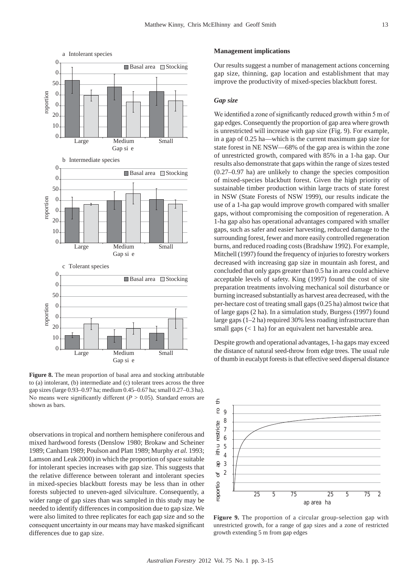

Figure 8. The mean proportion of basal area and stocking attributable to (a) intolerant, (b) intermediate and (c) tolerant trees across the three gap sizes (large 0.93–0.97 ha; medium 0.45–0.67 ha; small 0.27–0.3 ha). No means were significantly different  $(P > 0.05)$ . Standard errors are shown as bars.

observations in tropical and northern hemisphere coniferous and mixed hardwood forests (Denslow 1980; Brokaw and Scheiner 1989; Canham 1989; Poulson and Platt 1989; Murphy *et al.* 1993; Lamson and Leak 2000) in which the proportion of space suitable for intolerant species increases with gap size. This suggests that the relative difference between tolerant and intolerant species in mixed-species blackbutt forests may be less than in other forests subjected to uneven-aged silviculture. Consequently, a wider range of gap sizes than was sampled in this study may be needed to identify differences in composition due to gap size. We were also limited to three replicates for each gap size and so the consequent uncertainty in our means may have masked significant differences due to gap size.

#### **Management implications**

Our results suggest a number of management actions concerning gap size, thinning, gap location and establishment that may improve the productivity of mixed-species blackbutt forest.

#### *Gap size*

We identified a zone of significantly reduced growth within 5 m of gap edges. Consequently the proportion of gap area where growth is unrestricted will increase with gap size (Fig. 9). For example, in a gap of 0.25 ha—which is the current maximum gap size for state forest in NE NSW—68% of the gap area is within the zone of unrestricted growth, compared with 85% in a 1-ha gap. Our results also demonstrate that gaps within the range of sizes tested (0.27–0.97 ha) are unlikely to change the species composition of mixed-species blackbutt forest. Given the high priority of sustainable timber production within large tracts of state forest in NSW (State Forests of NSW 1999), our results indicate the use of a 1-ha gap would improve growth compared with smaller gaps, without compromising the composition of regeneration. A 1-ha gap also has operational advantages compared with smaller gaps, such as safer and easier harvesting, reduced damage to the surrounding forest, fewer and more easily controlled regeneration burns, and reduced roading costs (Bradshaw 1992). For example, Mitchell (1997) found the frequency of injuries to forestry workers decreased with increasing gap size in mountain ash forest, and concluded that only gaps greater than 0.5 ha in area could achieve acceptable levels of safety. King (1997) found the cost of site preparation treatments involving mechanical soil disturbance or burning increased substantially as harvest area decreased, with the per-hectare cost of treating small gaps (0.25 ha) almost twice that of large gaps (2 ha). In a simulation study, Burgess (1997) found large gaps (1–2 ha) required 30% less roading infrastructure than small gaps  $(< 1$  ha) for an equivalent net harvestable area.

Despite growth and operational advantages, 1-ha gaps may exceed the distance of natural seed-throw from edge trees. The usual rule of thumb in eucalypt forests is that effective seed dispersal distance



**Figure 9.** The proportion of a circular group-selection gap with unrestricted growth, for a range of gap sizes and a zone of restricted growth extending 5 m from gap edges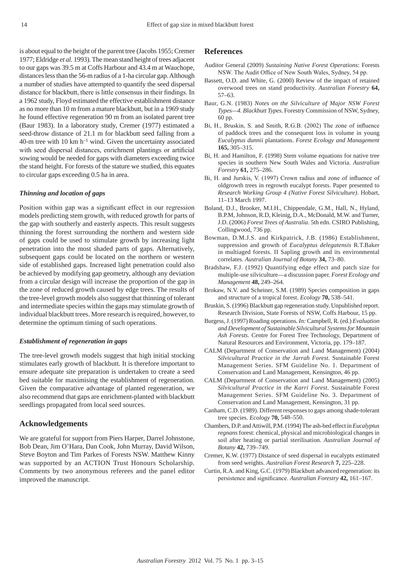is about equal to the height of the parent tree (Jacobs 1955; Cremer 1977; Eldridge *et al.* 1993). The mean stand height of trees adjacent to our gaps was 39.5 m at Coffs Harbour and 43.4 m at Wauchope, distances less than the 56-m radius of a 1-ha circular gap. Although a number of studies have attempted to quantify the seed dispersal distance for blackbutt, there is little consensus in their findings. In a 1962 study, Floyd estimated the effective establishment distance as no more than 10 m from a mature blackbutt, but in a 1969 study he found effective regeneration 90 m from an isolated parent tree (Baur 1983). In a laboratory study, Cremer (1977) estimated a seed-throw distance of 21.1 m for blackbutt seed falling from a 40-m tree with 10 km  $h^{-1}$  wind. Given the uncertainty associated with seed dispersal distances, enrichment plantings or artificial sowing would be needed for gaps with diameters exceeding twice the stand height. For forests of the stature we studied, this equates to circular gaps exceeding 0.5 ha in area.

### *Thinning and location of gaps*

Position within gap was a significant effect in our regression models predicting stem growth, with reduced growth for parts of the gap with southerly and easterly aspects. This result suggests thinning the forest surrounding the northern and western side of gaps could be used to stimulate growth by increasing light penetration into the most shaded parts of gaps. Alternatively, subsequent gaps could be located on the northern or western side of established gaps. Increased light penetration could also be achieved by modifying gap geometry, although any deviation from a circular design will increase the proportion of the gap in the zone of reduced growth caused by edge trees. The results of the tree-level growth models also suggest that thinning of tolerant and intermediate species within the gaps may stimulate growth of individual blackbutt trees. More research is required, however, to determine the optimum timing of such operations.

#### *Establishment of regeneration in gaps*

The tree-level growth models suggest that high initial stocking stimulates early growth of blackbutt. It is therefore important to ensure adequate site preparation is undertaken to create a seed bed suitable for maximising the establishment of regeneration. Given the comparative advantage of planted regeneration, we also recommend that gaps are enrichment-planted with blackbutt seedlings propagated from local seed sources.

## **Acknowledgements**

We are grateful for support from Piers Harper, Darrel Johnstone, Bob Dean, Jim O'Hara, Dan Cook, John Murray, David Wilson, Steve Boyton and Tim Parkes of Forests NSW. Matthew Kinny was supported by an ACTION Trust Honours Scholarship. Comments by two anonymous referees and the panel editor improved the manuscript.

# **References**

- Auditor General (2009) *Sustaining Native Forest Operations*: Forests NSW. The Audit Office of New South Wales, Sydney, 54 pp.
- Bassett, O.D. and White, G. (2000) Review of the impact of retained overwood trees on stand productivity. *Australian Forestry* **64,** 57–63.
- Baur, G.N. (1983) *Notes on the Silviculture of Major NSW Forest Types—4. Blackbutt Types*. Forestry Commission of NSW, Sydney, 60 pp.
- Bi, H., Bruskin, S. and Smith, R.G.B. (2002) The zone of influence of paddock trees and the consequent loss in volume in young *Eucalyptus dunnii* plantations. *Forest Ecology and Management* **165,** 305–315.
- Bi, H. and Hamilton, F. (1998) Stem volume equations for native tree species in southern New South Wales and Victoria. *Australian Forestry* **61,** 275–286.
- Bi, H. and Jurskis, V. (1997) Crown radius and zone of influence of oldgrowth trees in regrowth eucalypt forests. Paper presented to *Research Working Group 4 (Native Forest Silviculture)*. Hobart, 11–13 March 1997.
- Boland, D.J., Brooker, M.I.H., Chippendale, G.M., Hall, N., Hyland, B.P.M, Johnson, R.D, Kleinig, D.A., McDonald, M.W. and Turner, J.D. (2006) *Forest Trees of Australia*. 5th edn. CSIRO Publishing, Collingwood, 736 pp.
- Bowman, D.M.J.S. and Kirkpatrick, J.B. (1986) Establishment, suppression and growth of *Eucalyptus delegatensis* R.T.Baker in multiaged forests. II Sapling growth and its environmental correlates. *Australian Journal of Botany* **34,** 73–80.
- Bradshaw, F.J. (1992) Quantifying edge effect and patch size for multiple-use silviculture—a discussion paper. *Forest Ecology and Management* **48,** 249–264.
- Brokaw, N.V. and Scheiner, S.M. (1989) Species composition in gaps and structure of a tropical forest. *Ecology* **70,** 538–541.
- Bruskin, S. (1996) Blackbutt gap regeneration study. Unpublished report. Research Division, State Forests of NSW, Coffs Harbour, 15 pp.
- Burgess, J. (1997) Roading operations. *In:* Campbell, R. (ed.) *Evaluation and Development of Sustainable Silvicultural Systems for Mountain Ash Forests*. Centre for Forest Tree Technology, Department of Natural Resources and Environment, Victoria, pp. 179–187.
- CALM (Department of Conservation and Land Management) (2004) *Silvicultural Practice in the Jarrah Forest.* Sustainable Forest Management Series. SFM Guideline No. 1. Department of Conservation and Land Management, Kensington, 46 pp.
- CALM (Department of Conservation and Land Management) (2005) *Silvicultural Practice in the Karri Forest.* Sustainable Forest Management Series. SFM Guideline No. 3. Department of Conservation and Land Management, Kensington, 31 pp.
- Canham, C.D. (1989). Different responses to gaps among shade-tolerant tree species. *Ecology* **70,** 548–550.
- Chambers, D.P. and Attiwill, P.M. (1994) The ash-bed effect in *Eucalyptus regnans* forest: chemical, physical and microbiological changes in soil after heating or partial sterilisation. *Australian Journal of Botany* **42,** 739–749.
- Cremer, K.W. (1977) Distance of seed dispersal in eucalypts estimated from seed weights. *Australian Forest Research* **7,** 225–228.
- Curtin, R.A. and King, G.C. (1979) Blackbutt advanced regeneration: its persistence and significance. *Australian Forestry* **42,** 161–167.